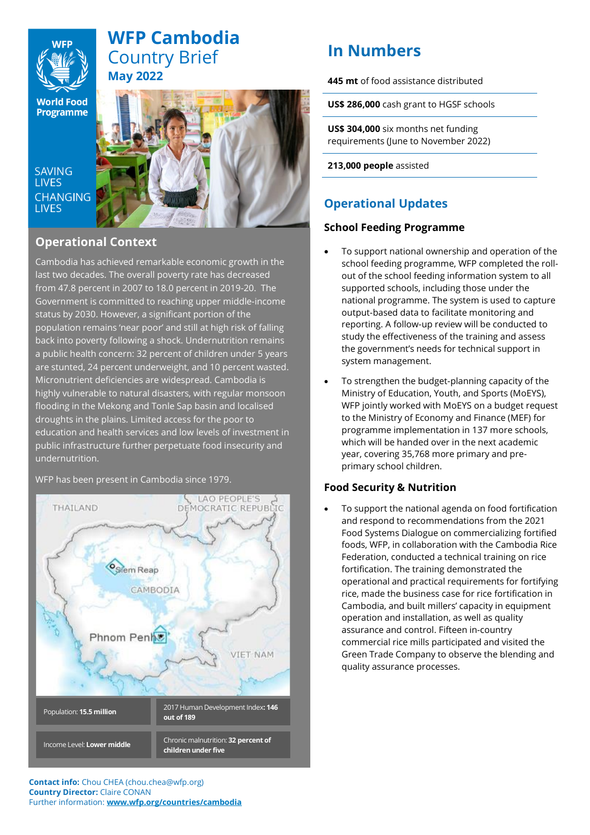

## **WFP Cambodia**  Country Brief **May 2022**

**World Food Programme** 

**SAVING I IVES CHANGING LIVES** 



## **Operational Context**

Cambodia has achieved remarkable economic growth in the last two decades. The overall poverty rate has decreased from 47.8 percent in 2007 to 18.0 percent in 2019-20. The Government is committed to reaching upper middle-income status by 2030. However, a significant portion of the population remains 'near poor' and still at high risk of falling back into poverty following a shock. Undernutrition remains a public health concern: 32 percent of children under 5 years are stunted, 24 percent underweight, and 10 percent wasted. Micronutrient deficiencies are widespread. Cambodia is highly vulnerable to natural disasters, with regular monsoon flooding in the Mekong and Tonle Sap basin and localised droughts in the plains. Limited access for the poor to education and health services and low levels of investment in public infrastructure further perpetuate food insecurity and undernutrition.

WFP has been present in Cambodia since 1979.



# **In Numbers**

**445 mt** of food assistance distributed

**US\$ 286,000** cash grant to HGSF schools

**US\$ 304,000** six months net funding requirements (June to November 2022)

**213,000 people** assisted

## **Operational Updates**

### **School Feeding Programme**

- To support national ownership and operation of the school feeding programme, WFP completed the rollout of the school feeding information system to all supported schools, including those under the national programme. The system is used to capture output-based data to facilitate monitoring and reporting. A follow-up review will be conducted to study the effectiveness of the training and assess the government's needs for technical support in system management.
- To strengthen the budget-planning capacity of the Ministry of Education, Youth, and Sports (MoEYS), WFP jointly worked with MoEYS on a budget request to the Ministry of Economy and Finance (MEF) for programme implementation in 137 more schools, which will be handed over in the next academic year, covering 35,768 more primary and preprimary school children.

### **Food Security & Nutrition**

• To support the national agenda on food fortification and respond to recommendations from the 2021 Food Systems Dialogue on commercializing fortified foods, WFP, in collaboration with the Cambodia Rice Federation, conducted a technical training on rice fortification. The training demonstrated the operational and practical requirements for fortifying rice, made the business case for rice fortification in Cambodia, and built millers' capacity in equipment operation and installation, as well as quality assurance and control. Fifteen in-country commercial rice mills participated and visited the Green Trade Company to observe the blending and quality assurance processes.

**Contact info:** Chou CHEA (chou.chea@wfp.org) **Country Director:** Claire CONAN Further information: **www.wfp.org/countries/cambodia**